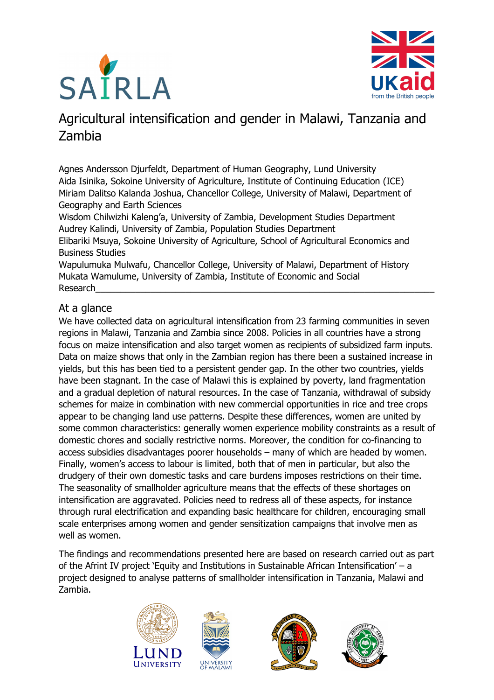



# Agricultural intensification and gender in Malawi, Tanzania and Zambia

Agnes Andersson Djurfeldt, Department of Human Geography, Lund University Aida Isinika, Sokoine University of Agriculture, Institute of Continuing Education (ICE) Miriam Dalitso Kalanda Joshua, Chancellor College, University of Malawi, Department of Geography and Earth Sciences

Wisdom Chilwizhi Kaleng'a, University of Zambia, Development Studies Department Audrey Kalindi, University of Zambia, Population Studies Department

Elibariki Msuya, Sokoine University of Agriculture, School of Agricultural Economics and Business Studies

Wapulumuka Mulwafu, Chancellor College, University of Malawi, Department of History Mukata Wamulume, University of Zambia, Institute of Economic and Social Research\_\_\_\_\_\_\_\_\_\_\_\_\_\_\_\_\_\_\_\_\_\_\_\_\_\_\_\_\_\_\_\_\_\_\_\_\_\_\_\_\_\_\_\_\_\_\_\_\_\_\_\_\_\_\_\_\_\_\_\_\_\_\_\_\_\_\_\_

## At a glance

We have collected data on agricultural intensification from 23 farming communities in seven regions in Malawi, Tanzania and Zambia since 2008. Policies in all countries have a strong focus on maize intensification and also target women as recipients of subsidized farm inputs. Data on maize shows that only in the Zambian region has there been a sustained increase in yields, but this has been tied to a persistent gender gap. In the other two countries, yields have been stagnant. In the case of Malawi this is explained by poverty, land fragmentation and a gradual depletion of natural resources. In the case of Tanzania, withdrawal of subsidy schemes for maize in combination with new commercial opportunities in rice and tree crops appear to be changing land use patterns. Despite these differences, women are united by some common characteristics: generally women experience mobility constraints as a result of domestic chores and socially restrictive norms. Moreover, the condition for co-financing to access subsidies disadvantages poorer households – many of which are headed by women. Finally, women's access to labour is limited, both that of men in particular, but also the drudgery of their own domestic tasks and care burdens imposes restrictions on their time. The seasonality of smallholder agriculture means that the effects of these shortages on intensification are aggravated. Policies need to redress all of these aspects, for instance through rural electrification and expanding basic healthcare for children, encouraging small scale enterprises among women and gender sensitization campaigns that involve men as well as women.

The findings and recommendations presented here are based on research carried out as part of the Afrint IV project 'Equity and Institutions in Sustainable African Intensification' – a project designed to analyse patterns of smallholder intensification in Tanzania, Malawi and Zambia.







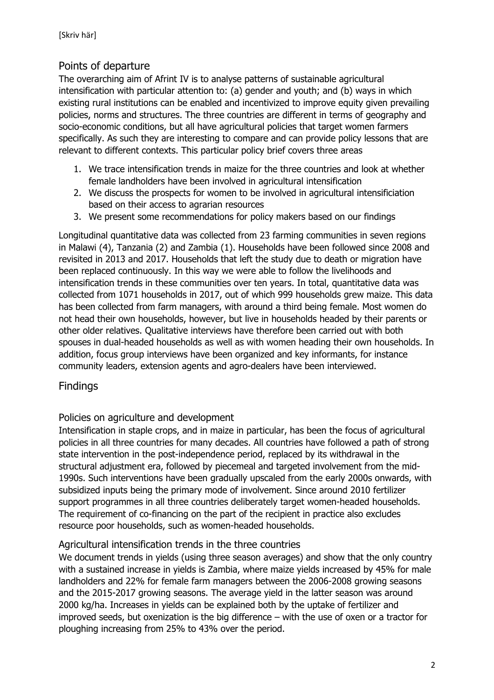## Points of departure

The overarching aim of Afrint IV is to analyse patterns of sustainable agricultural intensification with particular attention to: (a) gender and youth; and (b) ways in which existing rural institutions can be enabled and incentivized to improve equity given prevailing policies, norms and structures. The three countries are different in terms of geography and socio-economic conditions, but all have agricultural policies that target women farmers specifically. As such they are interesting to compare and can provide policy lessons that are relevant to different contexts. This particular policy brief covers three areas

- 1. We trace intensification trends in maize for the three countries and look at whether female landholders have been involved in agricultural intensification
- 2. We discuss the prospects for women to be involved in agricultural intensificiation based on their access to agrarian resources
- 3. We present some recommendations for policy makers based on our findings

Longitudinal quantitative data was collected from 23 farming communities in seven regions in Malawi (4), Tanzania (2) and Zambia (1). Households have been followed since 2008 and revisited in 2013 and 2017. Households that left the study due to death or migration have been replaced continuously. In this way we were able to follow the livelihoods and intensification trends in these communities over ten years. In total, quantitative data was collected from 1071 households in 2017, out of which 999 households grew maize. This data has been collected from farm managers, with around a third being female. Most women do not head their own households, however, but live in households headed by their parents or other older relatives. Qualitative interviews have therefore been carried out with both spouses in dual-headed households as well as with women heading their own households. In addition, focus group interviews have been organized and key informants, for instance community leaders, extension agents and agro-dealers have been interviewed.

## Findings

## Policies on agriculture and development

Intensification in staple crops, and in maize in particular, has been the focus of agricultural policies in all three countries for many decades. All countries have followed a path of strong state intervention in the post-independence period, replaced by its withdrawal in the structural adjustment era, followed by piecemeal and targeted involvement from the mid-1990s. Such interventions have been gradually upscaled from the early 2000s onwards, with subsidized inputs being the primary mode of involvement. Since around 2010 fertilizer support programmes in all three countries deliberately target women-headed households. The requirement of co-financing on the part of the recipient in practice also excludes resource poor households, such as women-headed households.

### Agricultural intensification trends in the three countries

We document trends in yields (using three season averages) and show that the only country with a sustained increase in yields is Zambia, where maize yields increased by 45% for male landholders and 22% for female farm managers between the 2006-2008 growing seasons and the 2015-2017 growing seasons. The average yield in the latter season was around 2000 kg/ha. Increases in yields can be explained both by the uptake of fertilizer and improved seeds, but oxenization is the big difference – with the use of oxen or a tractor for ploughing increasing from 25% to 43% over the period.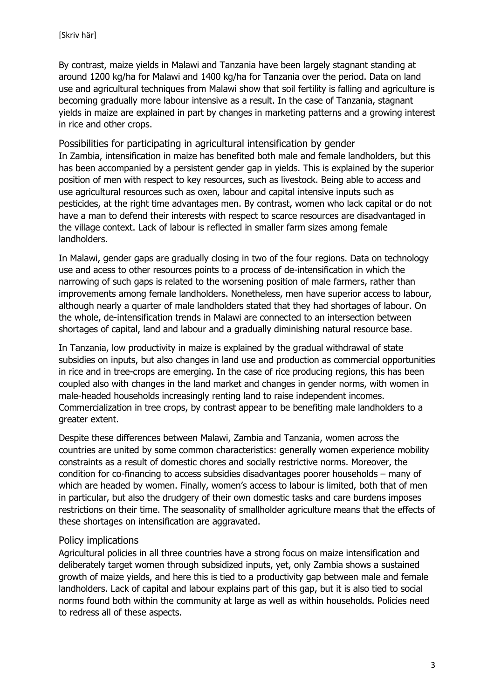By contrast, maize yields in Malawi and Tanzania have been largely stagnant standing at around 1200 kg/ha for Malawi and 1400 kg/ha for Tanzania over the period. Data on land use and agricultural techniques from Malawi show that soil fertility is falling and agriculture is becoming gradually more labour intensive as a result. In the case of Tanzania, stagnant yields in maize are explained in part by changes in marketing patterns and a growing interest in rice and other crops.

Possibilities for participating in agricultural intensification by gender In Zambia, intensification in maize has benefited both male and female landholders, but this has been accompanied by a persistent gender gap in yields. This is explained by the superior position of men with respect to key resources, such as livestock. Being able to access and use agricultural resources such as oxen, labour and capital intensive inputs such as pesticides, at the right time advantages men. By contrast, women who lack capital or do not have a man to defend their interests with respect to scarce resources are disadvantaged in the village context. Lack of labour is reflected in smaller farm sizes among female landholders.

In Malawi, gender gaps are gradually closing in two of the four regions. Data on technology use and acess to other resources points to a process of de-intensification in which the narrowing of such gaps is related to the worsening position of male farmers, rather than improvements among female landholders. Nonetheless, men have superior access to labour, although nearly a quarter of male landholders stated that they had shortages of labour. On the whole, de-intensification trends in Malawi are connected to an intersection between shortages of capital, land and labour and a gradually diminishing natural resource base.

In Tanzania, low productivity in maize is explained by the gradual withdrawal of state subsidies on inputs, but also changes in land use and production as commercial opportunities in rice and in tree-crops are emerging. In the case of rice producing regions, this has been coupled also with changes in the land market and changes in gender norms, with women in male-headed households increasingly renting land to raise independent incomes. Commercialization in tree crops, by contrast appear to be benefiting male landholders to a greater extent.

Despite these differences between Malawi, Zambia and Tanzania, women across the countries are united by some common characteristics: generally women experience mobility constraints as a result of domestic chores and socially restrictive norms. Moreover, the condition for co-financing to access subsidies disadvantages poorer households – many of which are headed by women. Finally, women's access to labour is limited, both that of men in particular, but also the drudgery of their own domestic tasks and care burdens imposes restrictions on their time. The seasonality of smallholder agriculture means that the effects of these shortages on intensification are aggravated.

#### Policy implications

Agricultural policies in all three countries have a strong focus on maize intensification and deliberately target women through subsidized inputs, yet, only Zambia shows a sustained growth of maize yields, and here this is tied to a productivity gap between male and female landholders. Lack of capital and labour explains part of this gap, but it is also tied to social norms found both within the community at large as well as within households. Policies need to redress all of these aspects.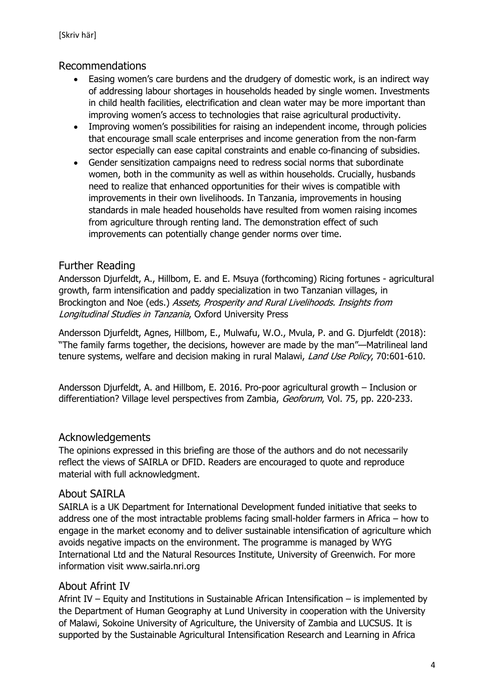## Recommendations

- Easing women's care burdens and the drudgery of domestic work, is an indirect way of addressing labour shortages in households headed by single women. Investments in child health facilities, electrification and clean water may be more important than improving women's access to technologies that raise agricultural productivity.
- Improving women's possibilities for raising an independent income, through policies that encourage small scale enterprises and income generation from the non-farm sector especially can ease capital constraints and enable co-financing of subsidies.
- Gender sensitization campaigns need to redress social norms that subordinate women, both in the community as well as within households. Crucially, husbands need to realize that enhanced opportunities for their wives is compatible with improvements in their own livelihoods. In Tanzania, improvements in housing standards in male headed households have resulted from women raising incomes from agriculture through renting land. The demonstration effect of such improvements can potentially change gender norms over time.

## Further Reading

Andersson Diurfeldt, A., Hillbom, E. and E. Msuva (forthcoming) Ricing fortunes - agricultural growth, farm intensification and paddy specialization in two Tanzanian villages, in Brockington and Noe (eds.) Assets, Prosperity and Rural Livelihoods. Insights from Longitudinal Studies in Tanzania, Oxford University Press

Andersson Diurfeldt, Agnes, Hillbom, E., Mulwafu, W.O., Myula, P. and G. Diurfeldt (2018): "The family farms together, the decisions, however are made by the man"—Matrilineal land tenure systems, welfare and decision making in rural Malawi, Land Use Policy, 70:601-610.

Andersson Djurfeldt, A. and Hillbom, E. 2016. Pro-poor agricultural growth – Inclusion or differentiation? Village level perspectives from Zambia, Geoforum, Vol. 75, pp. 220-233.

## Acknowledgements

The opinions expressed in this briefing are those of the authors and do not necessarily reflect the views of SAIRLA or DFID. Readers are encouraged to quote and reproduce material with full acknowledgment.

## About SAIRLA

SAIRLA is a UK Department for International Development funded initiative that seeks to address one of the most intractable problems facing small-holder farmers in Africa – how to engage in the market economy and to deliver sustainable intensification of agriculture which avoids negative impacts on the environment. The programme is managed by WYG International Ltd and the Natural Resources Institute, University of Greenwich. For more information visit www.sairla.nri.org

## About Afrint IV

Afrint IV – Equity and Institutions in Sustainable African Intensification – is implemented by the Department of Human Geography at Lund University in cooperation with the University of Malawi, Sokoine University of Agriculture, the University of Zambia and LUCSUS. It is supported by the Sustainable Agricultural Intensification Research and Learning in Africa